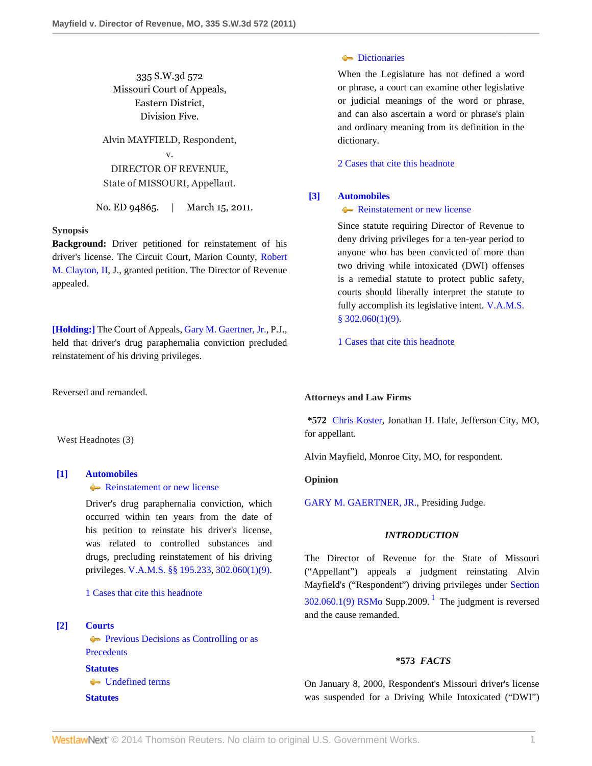335 S.W.3d 572 Missouri Court of Appeals, Eastern District, Division Five.

Alvin MAYFIELD, Respondent, v. DIRECTOR OF REVENUE, State of MISSOURI, Appellant.

No. ED 94865. | March 15, 2011.

### **Synopsis**

**Background:** Driver petitioned for reinstatement of his driver's license. The Circuit Court, Marion County, [Robert](http://www.westlaw.com/Link/Document/FullText?findType=h&pubNum=176284&cite=0260258101&originatingDoc=Ifedd0b494fbc11e0b931b80af77abaf1&refType=RQ&originationContext=document&vr=3.0&rs=cblt1.0&transitionType=DocumentItem&contextData=(sc.Search)) [M. Clayton, II,](http://www.westlaw.com/Link/Document/FullText?findType=h&pubNum=176284&cite=0260258101&originatingDoc=Ifedd0b494fbc11e0b931b80af77abaf1&refType=RQ&originationContext=document&vr=3.0&rs=cblt1.0&transitionType=DocumentItem&contextData=(sc.Search)) J., granted petition. The Director of Revenue appealed.

**[\[Holding:\]](#page-0-0)** The Court of Appeals, [Gary M. Gaertner, Jr.](http://www.westlaw.com/Link/Document/FullText?findType=h&pubNum=176284&cite=0331209401&originatingDoc=Ifedd0b494fbc11e0b931b80af77abaf1&refType=RQ&originationContext=document&vr=3.0&rs=cblt1.0&transitionType=DocumentItem&contextData=(sc.Search)), P.J., held that driver's drug paraphernalia conviction precluded reinstatement of his driving privileges.

Reversed and remanded.

West Headnotes (3)

# <span id="page-0-0"></span>**[\[1\]](#page-1-0) [Automobiles](http://www.westlaw.com/Browse/Home/KeyNumber/48A/View.html?docGuid=Ifedd0b494fbc11e0b931b80af77abaf1&originationContext=document&vr=3.0&rs=cblt1.0&transitionType=DocumentItem&contextData=(sc.Search))**

### **[Reinstatement or new license](http://www.westlaw.com/Browse/Home/KeyNumber/48Ak144.7/View.html?docGuid=Ifedd0b494fbc11e0b931b80af77abaf1&originationContext=document&vr=3.0&rs=cblt1.0&transitionType=DocumentItem&contextData=(sc.Search))**

Driver's drug paraphernalia conviction, which occurred within ten years from the date of his petition to reinstate his driver's license, was related to controlled substances and drugs, precluding reinstatement of his driving privileges. [V.A.M.S. §§ 195.233](http://www.westlaw.com/Link/Document/FullText?findType=L&pubNum=1000229&cite=MOST195.233&originatingDoc=Ifedd0b494fbc11e0b931b80af77abaf1&refType=LQ&originationContext=document&vr=3.0&rs=cblt1.0&transitionType=DocumentItem&contextData=(sc.Search)), [302.060\(1\)\(9\)](http://www.westlaw.com/Link/Document/FullText?findType=L&pubNum=1000229&cite=MOST302.060&originatingDoc=Ifedd0b494fbc11e0b931b80af77abaf1&refType=LQ&originationContext=document&vr=3.0&rs=cblt1.0&transitionType=DocumentItem&contextData=(sc.Search)).

[1 Cases that cite this headnote](http://www.westlaw.com/Link/RelatedInformation/DocHeadnoteLink?docGuid=Ifedd0b494fbc11e0b931b80af77abaf1&headnoteId=202479534700120130227042254&originationContext=document&vr=3.0&rs=cblt1.0&transitionType=CitingReferences&contextData=(sc.Search))

### <span id="page-0-1"></span>**[\[2\]](#page-2-0) [Courts](http://www.westlaw.com/Browse/Home/KeyNumber/106/View.html?docGuid=Ifedd0b494fbc11e0b931b80af77abaf1&originationContext=document&vr=3.0&rs=cblt1.0&transitionType=DocumentItem&contextData=(sc.Search))**

**[Previous Decisions as Controlling or as](http://www.westlaw.com/Browse/Home/KeyNumber/106k88/View.html?docGuid=Ifedd0b494fbc11e0b931b80af77abaf1&originationContext=document&vr=3.0&rs=cblt1.0&transitionType=DocumentItem&contextData=(sc.Search)) [Precedents](http://www.westlaw.com/Browse/Home/KeyNumber/106k88/View.html?docGuid=Ifedd0b494fbc11e0b931b80af77abaf1&originationContext=document&vr=3.0&rs=cblt1.0&transitionType=DocumentItem&contextData=(sc.Search)) [Statutes](http://www.westlaw.com/Browse/Home/KeyNumber/361/View.html?docGuid=Ifedd0b494fbc11e0b931b80af77abaf1&originationContext=document&vr=3.0&rs=cblt1.0&transitionType=DocumentItem&contextData=(sc.Search))** [Undefined terms](http://www.westlaw.com/Browse/Home/KeyNumber/361k1123/View.html?docGuid=Ifedd0b494fbc11e0b931b80af77abaf1&originationContext=document&vr=3.0&rs=cblt1.0&transitionType=DocumentItem&contextData=(sc.Search)) **[Statutes](http://www.westlaw.com/Browse/Home/KeyNumber/361/View.html?docGuid=Ifedd0b494fbc11e0b931b80af77abaf1&originationContext=document&vr=3.0&rs=cblt1.0&transitionType=DocumentItem&contextData=(sc.Search))**

## **[Dictionaries](http://www.westlaw.com/Browse/Home/KeyNumber/361k1181/View.html?docGuid=Ifedd0b494fbc11e0b931b80af77abaf1&originationContext=document&vr=3.0&rs=cblt1.0&transitionType=DocumentItem&contextData=(sc.Search))**

When the Legislature has not defined a word or phrase, a court can examine other legislative or judicial meanings of the word or phrase, and can also ascertain a word or phrase's plain and ordinary meaning from its definition in the dictionary.

[2 Cases that cite this headnote](http://www.westlaw.com/Link/RelatedInformation/DocHeadnoteLink?docGuid=Ifedd0b494fbc11e0b931b80af77abaf1&headnoteId=202479534700220130227042254&originationContext=document&vr=3.0&rs=cblt1.0&transitionType=CitingReferences&contextData=(sc.Search))

### <span id="page-0-2"></span>**[\[3\]](#page-2-1) [Automobiles](http://www.westlaw.com/Browse/Home/KeyNumber/48A/View.html?docGuid=Ifedd0b494fbc11e0b931b80af77abaf1&originationContext=document&vr=3.0&rs=cblt1.0&transitionType=DocumentItem&contextData=(sc.Search))**

[Reinstatement or new license](http://www.westlaw.com/Browse/Home/KeyNumber/48Ak144.7/View.html?docGuid=Ifedd0b494fbc11e0b931b80af77abaf1&originationContext=document&vr=3.0&rs=cblt1.0&transitionType=DocumentItem&contextData=(sc.Search))

Since statute requiring Director of Revenue to deny driving privileges for a ten-year period to anyone who has been convicted of more than two driving while intoxicated (DWI) offenses is a remedial statute to protect public safety, courts should liberally interpret the statute to fully accomplish its legislative intent. [V.A.M.S.](http://www.westlaw.com/Link/Document/FullText?findType=L&pubNum=1000229&cite=MOST302.060&originatingDoc=Ifedd0b494fbc11e0b931b80af77abaf1&refType=LQ&originationContext=document&vr=3.0&rs=cblt1.0&transitionType=DocumentItem&contextData=(sc.Search)) [§ 302.060\(1\)\(9\).](http://www.westlaw.com/Link/Document/FullText?findType=L&pubNum=1000229&cite=MOST302.060&originatingDoc=Ifedd0b494fbc11e0b931b80af77abaf1&refType=LQ&originationContext=document&vr=3.0&rs=cblt1.0&transitionType=DocumentItem&contextData=(sc.Search))

[1 Cases that cite this headnote](http://www.westlaw.com/Link/RelatedInformation/DocHeadnoteLink?docGuid=Ifedd0b494fbc11e0b931b80af77abaf1&headnoteId=202479534700320130227042254&originationContext=document&vr=3.0&rs=cblt1.0&transitionType=CitingReferences&contextData=(sc.Search))

### **Attorneys and Law Firms**

**\*572** [Chris Koster](http://www.westlaw.com/Link/Document/FullText?findType=h&pubNum=176284&cite=0369913201&originatingDoc=Ifedd0b494fbc11e0b931b80af77abaf1&refType=RQ&originationContext=document&vr=3.0&rs=cblt1.0&transitionType=DocumentItem&contextData=(sc.Search)), Jonathan H. Hale, Jefferson City, MO, for appellant.

Alvin Mayfield, Monroe City, MO, for respondent.

### **Opinion**

[GARY M. GAERTNER, JR.](http://www.westlaw.com/Link/Document/FullText?findType=h&pubNum=176284&cite=0331209401&originatingDoc=Ifedd0b494fbc11e0b931b80af77abaf1&refType=RQ&originationContext=document&vr=3.0&rs=cblt1.0&transitionType=DocumentItem&contextData=(sc.Search)), Presiding Judge.

### <span id="page-0-3"></span>*INTRODUCTION*

The Director of Revenue for the State of Missouri ("Appellant") appeals a judgment reinstating Alvin Mayfield's ("Respondent") driving privileges under [Section](http://www.westlaw.com/Link/Document/FullText?findType=L&pubNum=1000229&cite=MOST302.060&originatingDoc=Ifedd0b494fbc11e0b931b80af77abaf1&refType=LQ&originationContext=document&vr=3.0&rs=cblt1.0&transitionType=DocumentItem&contextData=(sc.Search))  $302.060.1(9)$  $302.060.1(9)$  $302.060.1(9)$  RSMo Supp.2009.<sup>1</sup> The judgment is reversed and the cause remanded.

### **\*573** *FACTS*

On January 8, 2000, Respondent's Missouri driver's license was suspended for a Driving While Intoxicated ("DWI")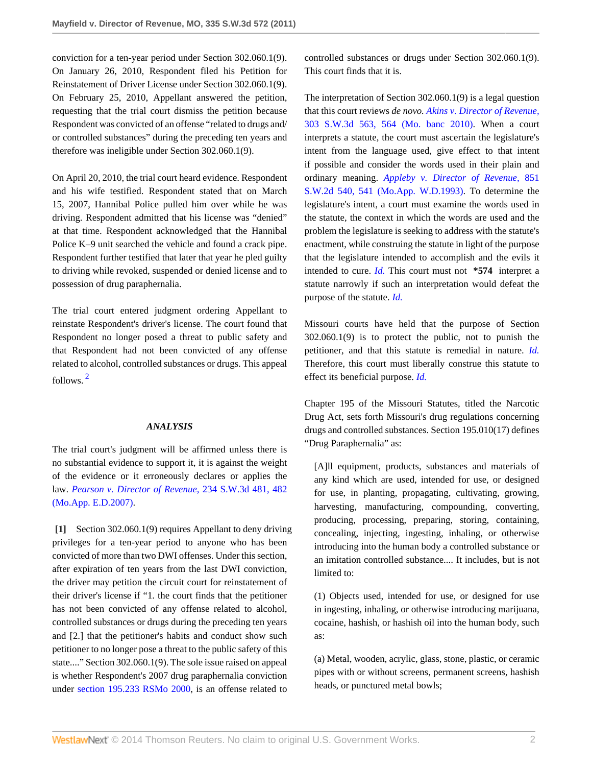conviction for a ten-year period under Section 302.060.1(9). On January 26, 2010, Respondent filed his Petition for Reinstatement of Driver License under Section 302.060.1(9). On February 25, 2010, Appellant answered the petition, requesting that the trial court dismiss the petition because Respondent was convicted of an offense "related to drugs and/ or controlled substances" during the preceding ten years and therefore was ineligible under Section 302.060.1(9).

On April 20, 2010, the trial court heard evidence. Respondent and his wife testified. Respondent stated that on March 15, 2007, Hannibal Police pulled him over while he was driving. Respondent admitted that his license was "denied" at that time. Respondent acknowledged that the Hannibal Police K–9 unit searched the vehicle and found a crack pipe. Respondent further testified that later that year he pled guilty to driving while revoked, suspended or denied license and to possession of drug paraphernalia.

<span id="page-1-1"></span>The trial court entered judgment ordering Appellant to reinstate Respondent's driver's license. The court found that Respondent no longer posed a threat to public safety and that Respondent had not been convicted of any offense related to alcohol, controlled substances or drugs. This appeal follows. [2](#page-3-0)

### *ANALYSIS*

The trial court's judgment will be affirmed unless there is no substantial evidence to support it, it is against the weight of the evidence or it erroneously declares or applies the law. *[Pearson v. Director of Revenue,](http://www.westlaw.com/Link/Document/FullText?findType=Y&serNum=2012663988&pubNum=4644&fi=co_pp_sp_4644_482&originationContext=document&vr=3.0&rs=cblt1.0&transitionType=DocumentItem&contextData=(sc.Search)#co_pp_sp_4644_482)* 234 S.W.3d 481, 482 [\(Mo.App. E.D.2007\).](http://www.westlaw.com/Link/Document/FullText?findType=Y&serNum=2012663988&pubNum=4644&fi=co_pp_sp_4644_482&originationContext=document&vr=3.0&rs=cblt1.0&transitionType=DocumentItem&contextData=(sc.Search)#co_pp_sp_4644_482)

<span id="page-1-0"></span>**[\[1\]](#page-0-0)** Section 302.060.1(9) requires Appellant to deny driving privileges for a ten-year period to anyone who has been convicted of more than two DWI offenses. Under this section, after expiration of ten years from the last DWI conviction, the driver may petition the circuit court for reinstatement of their driver's license if "1. the court finds that the petitioner has not been convicted of any offense related to alcohol, controlled substances or drugs during the preceding ten years and [2.] that the petitioner's habits and conduct show such petitioner to no longer pose a threat to the public safety of this state...." Section 302.060.1(9). The sole issue raised on appeal is whether Respondent's 2007 drug paraphernalia conviction under [section 195.233 RSMo 2000](http://www.westlaw.com/Link/Document/FullText?findType=L&pubNum=1000229&cite=MOST195.233&originatingDoc=Ifedd0b494fbc11e0b931b80af77abaf1&refType=LQ&originationContext=document&vr=3.0&rs=cblt1.0&transitionType=DocumentItem&contextData=(sc.Search)), is an offense related to

controlled substances or drugs under Section 302.060.1(9). This court finds that it is.

The interpretation of Section 302.060.1(9) is a legal question that this court reviews *de novo. [Akins v. Director of Revenue,](http://www.westlaw.com/Link/Document/FullText?findType=Y&serNum=2021414623&pubNum=4644&fi=co_pp_sp_4644_564&originationContext=document&vr=3.0&rs=cblt1.0&transitionType=DocumentItem&contextData=(sc.Search)#co_pp_sp_4644_564)* [303 S.W.3d 563, 564 \(Mo. banc 2010\)](http://www.westlaw.com/Link/Document/FullText?findType=Y&serNum=2021414623&pubNum=4644&fi=co_pp_sp_4644_564&originationContext=document&vr=3.0&rs=cblt1.0&transitionType=DocumentItem&contextData=(sc.Search)#co_pp_sp_4644_564). When a court interprets a statute, the court must ascertain the legislature's intent from the language used, give effect to that intent if possible and consider the words used in their plain and ordinary meaning. *[Appleby v. Director of Revenue,](http://www.westlaw.com/Link/Document/FullText?findType=Y&serNum=1993039112&pubNum=713&fi=co_pp_sp_713_541&originationContext=document&vr=3.0&rs=cblt1.0&transitionType=DocumentItem&contextData=(sc.Search)#co_pp_sp_713_541)* 851 [S.W.2d 540, 541 \(Mo.App. W.D.1993\)](http://www.westlaw.com/Link/Document/FullText?findType=Y&serNum=1993039112&pubNum=713&fi=co_pp_sp_713_541&originationContext=document&vr=3.0&rs=cblt1.0&transitionType=DocumentItem&contextData=(sc.Search)#co_pp_sp_713_541). To determine the legislature's intent, a court must examine the words used in the statute, the context in which the words are used and the problem the legislature is seeking to address with the statute's enactment, while construing the statute in light of the purpose that the legislature intended to accomplish and the evils it intended to cure. *[Id.](http://www.westlaw.com/Link/Document/FullText?findType=Y&serNum=1993039112&originationContext=document&vr=3.0&rs=cblt1.0&transitionType=DocumentItem&contextData=(sc.Search))* This court must not **\*574** interpret a statute narrowly if such an interpretation would defeat the purpose of the statute. *[Id.](http://www.westlaw.com/Link/Document/FullText?findType=Y&serNum=1993039112&originationContext=document&vr=3.0&rs=cblt1.0&transitionType=DocumentItem&contextData=(sc.Search))*

Missouri courts have held that the purpose of Section 302.060.1(9) is to protect the public, not to punish the petitioner, and that this statute is remedial in nature. *[Id.](http://www.westlaw.com/Link/Document/FullText?findType=Y&serNum=1993039112&originationContext=document&vr=3.0&rs=cblt1.0&transitionType=DocumentItem&contextData=(sc.Search))* Therefore, this court must liberally construe this statute to effect its beneficial purpose. *[Id.](http://www.westlaw.com/Link/Document/FullText?findType=Y&serNum=1993039112&originationContext=document&vr=3.0&rs=cblt1.0&transitionType=DocumentItem&contextData=(sc.Search))*

Chapter 195 of the Missouri Statutes, titled the Narcotic Drug Act, sets forth Missouri's drug regulations concerning drugs and controlled substances. Section 195.010(17) defines "Drug Paraphernalia" as:

[A]ll equipment, products, substances and materials of any kind which are used, intended for use, or designed for use, in planting, propagating, cultivating, growing, harvesting, manufacturing, compounding, converting, producing, processing, preparing, storing, containing, concealing, injecting, ingesting, inhaling, or otherwise introducing into the human body a controlled substance or an imitation controlled substance.... It includes, but is not limited to:

(1) Objects used, intended for use, or designed for use in ingesting, inhaling, or otherwise introducing marijuana, cocaine, hashish, or hashish oil into the human body, such as:

(a) Metal, wooden, acrylic, glass, stone, plastic, or ceramic pipes with or without screens, permanent screens, hashish heads, or punctured metal bowls;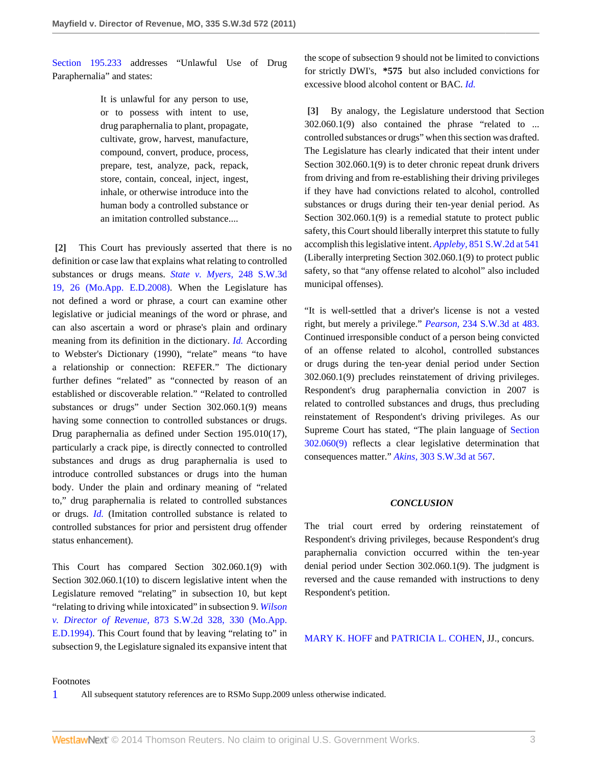[Section 195.233](http://www.westlaw.com/Link/Document/FullText?findType=L&pubNum=1000229&cite=MOST195.233&originatingDoc=Ifedd0b494fbc11e0b931b80af77abaf1&refType=LQ&originationContext=document&vr=3.0&rs=cblt1.0&transitionType=DocumentItem&contextData=(sc.Search)) addresses "Unlawful Use of Drug Paraphernalia" and states:

> It is unlawful for any person to use, or to possess with intent to use, drug paraphernalia to plant, propagate, cultivate, grow, harvest, manufacture, compound, convert, produce, process, prepare, test, analyze, pack, repack, store, contain, conceal, inject, ingest, inhale, or otherwise introduce into the human body a controlled substance or an imitation controlled substance....

<span id="page-2-0"></span>**[\[2\]](#page-0-1)** This Court has previously asserted that there is no definition or case law that explains what relating to controlled substances or drugs means. *[State v. Myers,](http://www.westlaw.com/Link/Document/FullText?findType=Y&serNum=2014711716&pubNum=4644&fi=co_pp_sp_4644_26&originationContext=document&vr=3.0&rs=cblt1.0&transitionType=DocumentItem&contextData=(sc.Search)#co_pp_sp_4644_26)* 248 S.W.3d [19, 26 \(Mo.App. E.D.2008\).](http://www.westlaw.com/Link/Document/FullText?findType=Y&serNum=2014711716&pubNum=4644&fi=co_pp_sp_4644_26&originationContext=document&vr=3.0&rs=cblt1.0&transitionType=DocumentItem&contextData=(sc.Search)#co_pp_sp_4644_26) When the Legislature has not defined a word or phrase, a court can examine other legislative or judicial meanings of the word or phrase, and can also ascertain a word or phrase's plain and ordinary meaning from its definition in the dictionary. *[Id.](http://www.westlaw.com/Link/Document/FullText?findType=Y&serNum=2014711716&originationContext=document&vr=3.0&rs=cblt1.0&transitionType=DocumentItem&contextData=(sc.Search))* According to Webster's Dictionary (1990), "relate" means "to have a relationship or connection: REFER." The dictionary further defines "related" as "connected by reason of an established or discoverable relation." "Related to controlled substances or drugs" under Section 302.060.1(9) means having some connection to controlled substances or drugs. Drug paraphernalia as defined under Section 195.010(17), particularly a crack pipe, is directly connected to controlled substances and drugs as drug paraphernalia is used to introduce controlled substances or drugs into the human body. Under the plain and ordinary meaning of "related to," drug paraphernalia is related to controlled substances or drugs. *[Id.](http://www.westlaw.com/Link/Document/FullText?findType=Y&serNum=2014711716&originationContext=document&vr=3.0&rs=cblt1.0&transitionType=DocumentItem&contextData=(sc.Search))* (Imitation controlled substance is related to controlled substances for prior and persistent drug offender status enhancement).

This Court has compared Section 302.060.1(9) with Section 302.060.1(10) to discern legislative intent when the Legislature removed "relating" in subsection 10, but kept "relating to driving while intoxicated" in subsection 9. *[Wilson](http://www.westlaw.com/Link/Document/FullText?findType=Y&serNum=1994076536&pubNum=713&fi=co_pp_sp_713_330&originationContext=document&vr=3.0&rs=cblt1.0&transitionType=DocumentItem&contextData=(sc.Search)#co_pp_sp_713_330) v. Director of Revenue,* [873 S.W.2d 328, 330 \(Mo.App.](http://www.westlaw.com/Link/Document/FullText?findType=Y&serNum=1994076536&pubNum=713&fi=co_pp_sp_713_330&originationContext=document&vr=3.0&rs=cblt1.0&transitionType=DocumentItem&contextData=(sc.Search)#co_pp_sp_713_330) [E.D.1994\).](http://www.westlaw.com/Link/Document/FullText?findType=Y&serNum=1994076536&pubNum=713&fi=co_pp_sp_713_330&originationContext=document&vr=3.0&rs=cblt1.0&transitionType=DocumentItem&contextData=(sc.Search)#co_pp_sp_713_330) This Court found that by leaving "relating to" in subsection 9, the Legislature signaled its expansive intent that the scope of subsection 9 should not be limited to convictions for strictly DWI's, **\*575** but also included convictions for excessive blood alcohol content or BAC. *[Id.](http://www.westlaw.com/Link/Document/FullText?findType=Y&serNum=1994076536&originationContext=document&vr=3.0&rs=cblt1.0&transitionType=DocumentItem&contextData=(sc.Search))*

<span id="page-2-1"></span>**[\[3\]](#page-0-2)** By analogy, the Legislature understood that Section 302.060.1(9) also contained the phrase "related to ... controlled substances or drugs" when this section was drafted. The Legislature has clearly indicated that their intent under Section 302.060.1(9) is to deter chronic repeat drunk drivers from driving and from re-establishing their driving privileges if they have had convictions related to alcohol, controlled substances or drugs during their ten-year denial period. As Section 302.060.1(9) is a remedial statute to protect public safety, this Court should liberally interpret this statute to fully accomplish this legislative intent. *Appleby,* [851 S.W.2d at 541](http://www.westlaw.com/Link/Document/FullText?findType=Y&serNum=1993039112&pubNum=713&fi=co_pp_sp_713_541&originationContext=document&vr=3.0&rs=cblt1.0&transitionType=DocumentItem&contextData=(sc.Search)#co_pp_sp_713_541) (Liberally interpreting Section 302.060.1(9) to protect public safety, so that "any offense related to alcohol" also included municipal offenses).

"It is well-settled that a driver's license is not a vested right, but merely a privilege." *Pearson,* [234 S.W.3d at 483.](http://www.westlaw.com/Link/Document/FullText?findType=Y&serNum=2012663988&pubNum=4644&fi=co_pp_sp_4644_483&originationContext=document&vr=3.0&rs=cblt1.0&transitionType=DocumentItem&contextData=(sc.Search)#co_pp_sp_4644_483) Continued irresponsible conduct of a person being convicted of an offense related to alcohol, controlled substances or drugs during the ten-year denial period under Section 302.060.1(9) precludes reinstatement of driving privileges. Respondent's drug paraphernalia conviction in 2007 is related to controlled substances and drugs, thus precluding reinstatement of Respondent's driving privileges. As our Supreme Court has stated, "The plain language of [Section](http://www.westlaw.com/Link/Document/FullText?findType=L&pubNum=1000229&cite=MOST302.060&originatingDoc=Ifedd0b494fbc11e0b931b80af77abaf1&refType=LQ&originationContext=document&vr=3.0&rs=cblt1.0&transitionType=DocumentItem&contextData=(sc.Search)) [302.060\(9\)](http://www.westlaw.com/Link/Document/FullText?findType=L&pubNum=1000229&cite=MOST302.060&originatingDoc=Ifedd0b494fbc11e0b931b80af77abaf1&refType=LQ&originationContext=document&vr=3.0&rs=cblt1.0&transitionType=DocumentItem&contextData=(sc.Search)) reflects a clear legislative determination that consequences matter." *Akins,* [303 S.W.3d at 567](http://www.westlaw.com/Link/Document/FullText?findType=Y&serNum=2021414623&pubNum=4644&fi=co_pp_sp_4644_567&originationContext=document&vr=3.0&rs=cblt1.0&transitionType=DocumentItem&contextData=(sc.Search)#co_pp_sp_4644_567).

### *CONCLUSION*

The trial court erred by ordering reinstatement of Respondent's driving privileges, because Respondent's drug paraphernalia conviction occurred within the ten-year denial period under Section 302.060.1(9). The judgment is reversed and the cause remanded with instructions to deny Respondent's petition.

[MARY K. HOFF](http://www.westlaw.com/Link/Document/FullText?findType=h&pubNum=176284&cite=0100550601&originatingDoc=Ifedd0b494fbc11e0b931b80af77abaf1&refType=RQ&originationContext=document&vr=3.0&rs=cblt1.0&transitionType=DocumentItem&contextData=(sc.Search)) and [PATRICIA L. COHEN,](http://www.westlaw.com/Link/Document/FullText?findType=h&pubNum=176284&cite=0135329301&originatingDoc=Ifedd0b494fbc11e0b931b80af77abaf1&refType=RQ&originationContext=document&vr=3.0&rs=cblt1.0&transitionType=DocumentItem&contextData=(sc.Search)) JJ., concurs.

### Footnotes

<span id="page-2-2"></span>[1](#page-0-3) All subsequent statutory references are to RSMo Supp.2009 unless otherwise indicated.